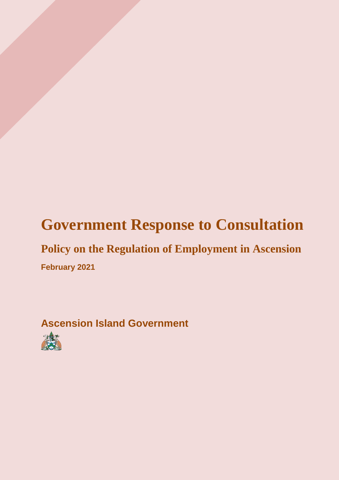# **Government Response to Consultation**

## **Policy on the Regulation of Employment in Ascension February 2021**

## **Ascension Island Government**

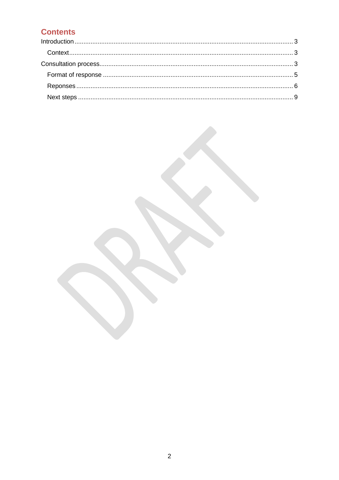### **Contents**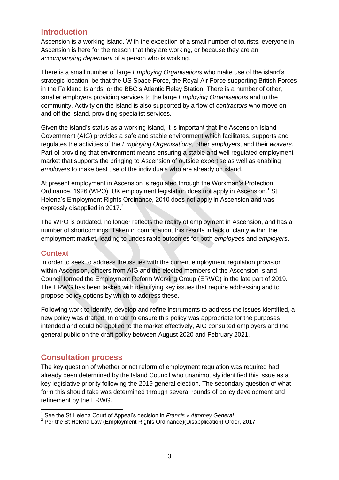#### <span id="page-2-0"></span>**Introduction**

Ascension is a working island. With the exception of a small number of tourists, everyone in Ascension is here for the reason that they are working, or because they are an *accompanying dependant* of a person who is working.

There is a small number of large *Employing Organisations* who make use of the island's strategic location, be that the US Space Force, the Royal Air Force supporting British Forces in the Falkland Islands, or the BBC's Atlantic Relay Station. There is a number of other, smaller employers providing services to the large *Employing Organisations* and to the community. Activity on the island is also supported by a flow of *contractors* who move on and off the island, providing specialist services.

Given the island's status as a working island, it is important that the Ascension Island Government (AIG) provides a safe and stable environment which facilitates, supports and regulates the activities of the *Employing Organisations*, other *employers*, and their *workers*. Part of providing that environment means ensuring a stable and well regulated employment market that supports the bringing to Ascension of outside expertise as well as enabling *employers* to make best use of the individuals who are already on island.

At present employment in Ascension is regulated through the Workman's Protection Ordinance, 1926 (WPO). UK employment legislation does not apply in Ascension.<sup>1</sup> St Helena's Employment Rights Ordinance, 2010 does not apply in Ascension and was expressly disapplied in  $2017<sup>2</sup>$ 

The WPO is outdated, no longer reflects the reality of employment in Ascension, and has a number of shortcomings. Taken in combination, this results in lack of clarity within the employment market, leading to undesirable outcomes for both *employees* and *employers*.

#### <span id="page-2-1"></span>**Context**

In order to seek to address the issues with the current employment regulation provision within Ascension, officers from AIG and the elected members of the Ascension Island Council formed the Employment Reform Working Group (ERWG) in the late part of 2019. The ERWG has been tasked with identifying key issues that require addressing and to propose policy options by which to address these.

Following work to identify, develop and refine instruments to address the issues identified, a new policy was drafted. In order to ensure this policy was appropriate for the purposes intended and could be applied to the market effectively, AIG consulted employers and the general public on the draft policy between August 2020 and February 2021.

### <span id="page-2-2"></span>**Consultation process**

The key question of whether or not reform of employment regulation was required had already been determined by the Island Council who unanimously identified this issue as a key legislative priority following the 2019 general election. The secondary question of what form this should take was determined through several rounds of policy development and refinement by the ERWG.

 1 See the St Helena Court of Appeal's decision in *Francis v Attorney General* 

<sup>&</sup>lt;sup>2</sup> Per the St Helena Law (Employment Rights Ordinance)(Disapplication) Order, 2017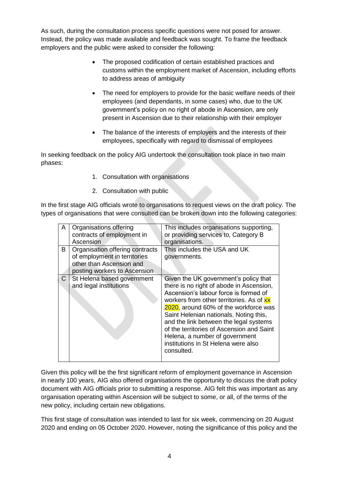As such, during the consultation process specific questions were not posed for answer. Instead, the policy was made available and feedback was sought. To frame the feedback employers and the public were asked to consider the following:

- The proposed codification of certain established practices and customs within the employment market of Ascension, including efforts to address areas of ambiguity
- The need for employers to provide for the basic welfare needs of their employees (and dependants, in some cases) who, due to the UK government's policy on no right of abode in Ascension, are only present in Ascension due to their relationship with their employer
- The balance of the interests of employers and the interests of their employees, specifically with regard to dismissal of employees

In seeking feedback on the policy AIG undertook the consultation took place in two main phases:

- 1. Consultation with organisations
- 2. Consultation with public

In the first stage AIG officials wrote to organisations to request views on the draft policy. The types of organisations that were consulted can be broken down into the following categories:

| A            | Organisations offering<br>contracts of employment in<br>Ascension                                                           | This includes organisations supporting,<br>or providing services to, Category B<br>organisations.                                                                                                                                                                                                                                                                                                                                       |  |  |
|--------------|-----------------------------------------------------------------------------------------------------------------------------|-----------------------------------------------------------------------------------------------------------------------------------------------------------------------------------------------------------------------------------------------------------------------------------------------------------------------------------------------------------------------------------------------------------------------------------------|--|--|
| B            | Organisation offering contracts<br>of employment in territories<br>other than Ascension and<br>posting workers to Ascension | This includes the USA and UK<br>governments.                                                                                                                                                                                                                                                                                                                                                                                            |  |  |
| $\mathsf{C}$ | St Helena based government<br>and legal institutions                                                                        | Given the UK government's policy that<br>there is no right of abode in Ascension,<br>Ascension's labour force is formed of<br>workers from other territories. As of xx<br>2020, around 60% of the workforce was<br>Saint Helenian nationals. Noting this,<br>and the link between the legal systems<br>of the territories of Ascension and Saint<br>Helena, a number of government<br>institutions in St Helena were also<br>consulted. |  |  |

Given this policy will be the first significant reform of employment governance in Ascension in nearly 100 years, AIG also offered organisations the opportunity to discuss the draft policy document with AIG officials prior to submitting a response. AIG felt this was important as any organisation operating within Ascension will be subject to some, or all, of the terms of the new policy, including certain new obligations.

This first stage of consultation was intended to last for six week, commencing on 20 August 2020 and ending on 05 October 2020. However, noting the significance of this policy and the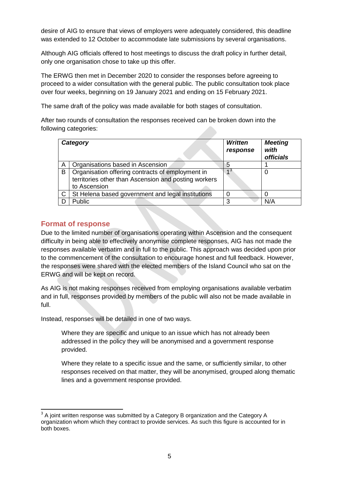desire of AIG to ensure that views of employers were adequately considered, this deadline was extended to 12 October to accommodate late submissions by several organisations.

Although AIG officials offered to host meetings to discuss the draft policy in further detail, only one organisation chose to take up this offer.

The ERWG then met in December 2020 to consider the responses before agreeing to proceed to a wider consultation with the general public. The public consultation took place over four weeks, beginning on 19 January 2021 and ending on 15 February 2021.

The same draft of the policy was made available for both stages of consultation.

After two rounds of consultation the responses received can be broken down into the following categories:

|   | Category                                                                                                                 | <b>Written</b><br>response | <b>Meeting</b><br>with<br><b>officials</b> |
|---|--------------------------------------------------------------------------------------------------------------------------|----------------------------|--------------------------------------------|
| A | Organisations based in Ascension                                                                                         | 5                          |                                            |
| B | Organisation offering contracts of employment in<br>territories other than Ascension and posting workers<br>to Ascension |                            | Ü                                          |
|   | St Helena based government and legal institutions                                                                        | 0                          |                                            |
|   | Public                                                                                                                   | 3                          | N/A                                        |

#### <span id="page-4-0"></span>**Format of response**

Due to the limited number of organisations operating within Ascension and the consequent difficulty in being able to effectively anonymise complete responses, AIG has not made the responses available verbatim and in full to the public. This approach was decided upon prior to the commencement of the consultation to encourage honest and full feedback. However, the responses were shared with the elected members of the Island Council who sat on the ERWG and will be kept on record.

As AIG is not making responses received from employing organisations available verbatim and in full, responses provided by members of the public will also not be made available in full.

Instead, responses will be detailed in one of two ways.

Where they are specific and unique to an issue which has not already been addressed in the policy they will be anonymised and a government response provided.

Where they relate to a specific issue and the same, or sufficiently similar, to other responses received on that matter, they will be anonymised, grouped along thematic lines and a government response provided.

<sup>-</sup> $3$  A joint written response was submitted by a Category B organization and the Category A organization whom which they contract to provide services. As such this figure is accounted for in both boxes.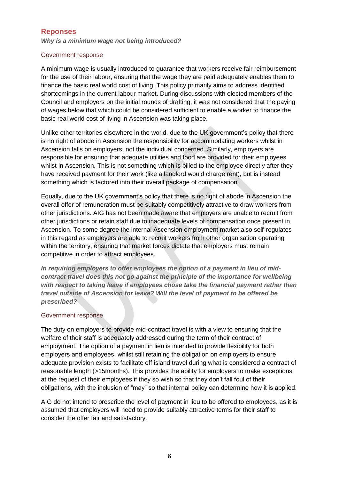#### <span id="page-5-0"></span>**Reponses**

*Why is a minimum wage not being introduced?*

#### Government response

A minimum wage is usually introduced to guarantee that workers receive fair reimbursement for the use of their labour, ensuring that the wage they are paid adequately enables them to finance the basic real world cost of living. This policy primarily aims to address identified shortcomings in the current labour market. During discussions with elected members of the Council and employers on the initial rounds of drafting, it was not considered that the paying of wages below that which could be considered sufficient to enable a worker to finance the basic real world cost of living in Ascension was taking place.

Unlike other territories elsewhere in the world, due to the UK government's policy that there is no right of abode in Ascension the responsibility for accommodating workers whilst in Ascension falls on employers, not the individual concerned. Similarly, employers are responsible for ensuring that adequate utilities and food are provided for their employees whilst in Ascension. This is not something which is billed to the employee directly after they have received payment for their work (like a landlord would charge rent), but is instead something which is factored into their overall package of compensation.

Equally, due to the UK government's policy that there is no right of abode in Ascension the overall offer of remuneration must be suitably competitively attractive to draw workers from other jurisdictions. AIG has not been made aware that employers are unable to recruit from other jurisdictions or retain staff due to inadequate levels of compensation once present in Ascension. To some degree the internal Ascension employment market also self-regulates in this regard as employers are able to recruit workers from other organisation operating within the territory, ensuring that market forces dictate that employers must remain competitive in order to attract employees.

*In requiring employers to offer employees the option of a payment in lieu of midcontract travel does this not go against the principle of the importance for wellbeing with respect to taking leave if employees chose take the financial payment rather than travel outside of Ascension for leave? Will the level of payment to be offered be prescribed?* 

#### Government response

The duty on employers to provide mid-contract travel is with a view to ensuring that the welfare of their staff is adequately addressed during the term of their contract of employment. The option of a payment in lieu is intended to provide flexibility for both employers and employees, whilst still retaining the obligation on employers to ensure adequate provision exists to facilitate off island travel during what is considered a contract of reasonable length (>15months). This provides the ability for employers to make exceptions at the request of their employees if they so wish so that they don't fall foul of their obligations, with the inclusion of "may" so that internal policy can determine how it is applied.

AIG do not intend to prescribe the level of payment in lieu to be offered to employees, as it is assumed that employers will need to provide suitably attractive terms for their staff to consider the offer fair and satisfactory.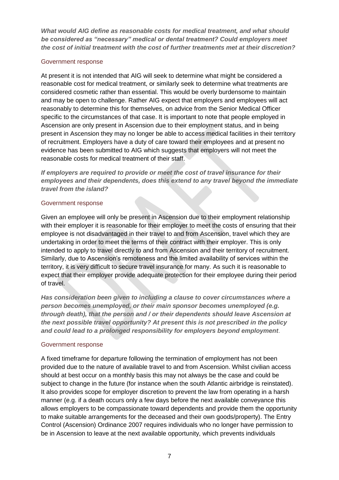*What would AIG define as reasonable costs for medical treatment, and what should be considered as "necessary" medical or dental treatment? Could employers meet the cost of initial treatment with the cost of further treatments met at their discretion?* 

#### Government response

At present it is not intended that AIG will seek to determine what might be considered a reasonable cost for medical treatment, or similarly seek to determine what treatments are considered cosmetic rather than essential. This would be overly burdensome to maintain and may be open to challenge. Rather AIG expect that employers and employees will act reasonably to determine this for themselves, on advice from the Senior Medical Officer specific to the circumstances of that case. It is important to note that people employed in Ascension are only present in Ascension due to their employment status, and in being present in Ascension they may no longer be able to access medical facilities in their territory of recruitment. Employers have a duty of care toward their employees and at present no evidence has been submitted to AIG which suggests that employers will not meet the reasonable costs for medical treatment of their staff.

*If employers are required to provide or meet the cost of travel insurance for their employees and their dependents, does this extend to any travel beyond the immediate travel from the island?*

#### Government response

Given an employee will only be present in Ascension due to their employment relationship with their employer it is reasonable for their employer to meet the costs of ensuring that their employee is not disadvantaged in their travel to and from Ascension, travel which they are undertaking in order to meet the terms of their contract with their employer. This is only intended to apply to travel directly to and from Ascension and their territory of recruitment. Similarly, due to Ascension's remoteness and the limited availability of services within the territory, it is very difficult to secure travel insurance for many. As such it is reasonable to expect that their employer provide adequate protection for their employee during their period of travel.

*Has consideration been given to including a clause to cover circumstances where a person becomes unemployed, or their main sponsor becomes unemployed (e.g. through death), that the person and / or their dependents should leave Ascension at the next possible travel opportunity? At present this is not prescribed in the policy and could lead to a prolonged responsibility for employers beyond employment*.

#### Government response

A fixed timeframe for departure following the termination of employment has not been provided due to the nature of available travel to and from Ascension. Whilst civilian access should at best occur on a monthly basis this may not always be the case and could be subject to change in the future (for instance when the south Atlantic airbridge is reinstated). It also provides scope for employer discretion to prevent the law from operating in a harsh manner (e.g. if a death occurs only a few days before the next available conveyance this allows employers to be compassionate toward dependents and provide them the opportunity to make suitable arrangements for the deceased and their own goods/property). The Entry Control (Ascension) Ordinance 2007 requires individuals who no longer have permission to be in Ascension to leave at the next available opportunity, which prevents individuals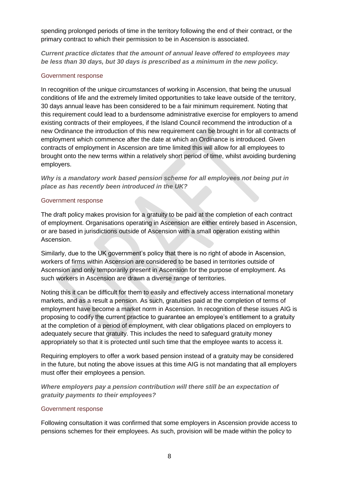spending prolonged periods of time in the territory following the end of their contract, or the primary contract to which their permission to be in Ascension is associated.

*Current practice dictates that the amount of annual leave offered to employees may be less than 30 days, but 30 days is prescribed as a minimum in the new policy.*

#### Government response

In recognition of the unique circumstances of working in Ascension, that being the unusual conditions of life and the extremely limited opportunities to take leave outside of the territory, 30 days annual leave has been considered to be a fair minimum requirement. Noting that this requirement could lead to a burdensome administrative exercise for employers to amend existing contracts of their employees, if the Island Council recommend the introduction of a new Ordinance the introduction of this new requirement can be brought in for all contracts of employment which commence after the date at which an Ordinance is introduced. Given contracts of employment in Ascension are time limited this will allow for all employees to brought onto the new terms within a relatively short period of time, whilst avoiding burdening employers.

*Why is a mandatory work based pension scheme for all employees not being put in place as has recently been introduced in the UK?*

#### Government response

The draft policy makes provision for a gratuity to be paid at the completion of each contract of employment. Organisations operating in Ascension are either entirely based in Ascension, or are based in jurisdictions outside of Ascension with a small operation existing within Ascension.

Similarly, due to the UK government's policy that there is no right of abode in Ascension, workers of firms within Ascension are considered to be based in territories outside of Ascension and only temporarily present in Ascension for the purpose of employment. As such workers in Ascension are drawn a diverse range of territories.

Noting this it can be difficult for them to easily and effectively access international monetary markets, and as a result a pension. As such, gratuities paid at the completion of terms of employment have become a market norm in Ascension. In recognition of these issues AIG is proposing to codify the current practice to guarantee an employee's entitlement to a gratuity at the completion of a period of employment, with clear obligations placed on employers to adequately secure that gratuity. This includes the need to safeguard gratuity money appropriately so that it is protected until such time that the employee wants to access it.

Requiring employers to offer a work based pension instead of a gratuity may be considered in the future, but noting the above issues at this time AIG is not mandating that all employers must offer their employees a pension.

*Where employers pay a pension contribution will there still be an expectation of gratuity payments to their employees?*

#### Government response

Following consultation it was confirmed that some employers in Ascension provide access to pensions schemes for their employees. As such, provision will be made within the policy to